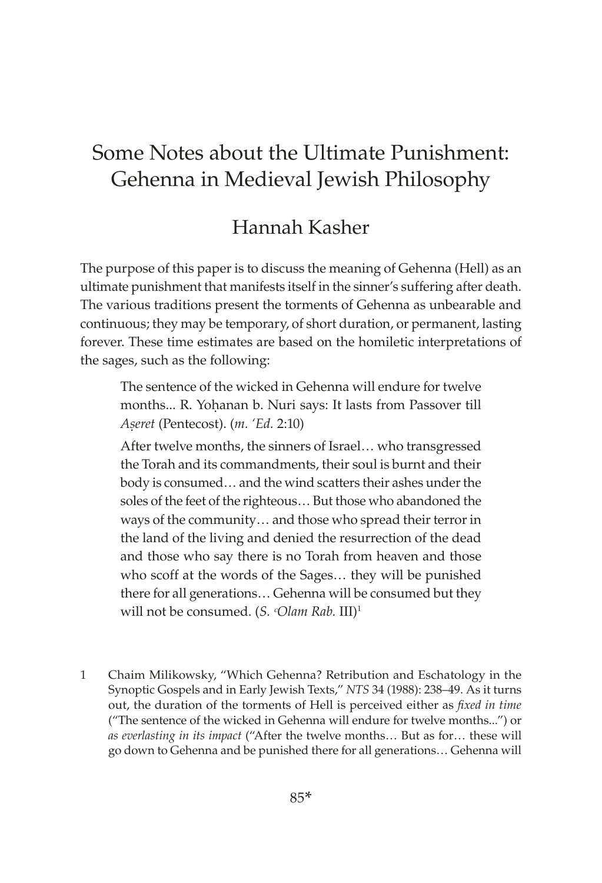# Some Notes about the Ultimate Punishment: Gehenna in Medieval Jewish Philosophy

## Hannah Kasher

The purpose of this paper is to discuss the meaning of Gehenna (Hell) as an ultimate punishment that manifests itself in the sinner's suffering after death. The various traditions present the torments of Gehenna as unbearable and continuous; they may be temporary, of short duration, or permanent, lasting forever. These time estimates are based on the homiletic interpretations of the sages, such as the following:

The sentence of the wicked in Gehenna will endure for twelve months... R. Yohanan b. Nuri says: It lasts from Passover till *Aúeret* (Pentecost). (*m. 'Ed.* 2:10)

After twelve months, the sinners of Israel… who transgressed the Torah and its commandments, their soul is burnt and their body is consumed… and the wind scatters their ashes under the soles of the feet of the righteous… But those who abandoned the ways of the community… and those who spread their terror in the land of the living and denied the resurrection of the dead and those who say there is no Torah from heaven and those who scoff at the words of the Sages… they will be punished there for all generations… Gehenna will be consumed but they will not be consumed. (*S. ᶜOlam Rab.* III)1

1 Chaim Milikowsky, "Which Gehenna? Retribution and Eschatology in the Synoptic Gospels and in Early Jewish Texts," *NTS* 34 (1988): 238–49. As it turns out, the duration of the torments of Hell is perceived either as *fixed in time* ("The sentence of the wicked in Gehenna will endure for twelve months...") or *as everlasting in its impact* ("After the twelve months… But as for… these will go down to Gehenna and be punished there for all generations… Gehenna will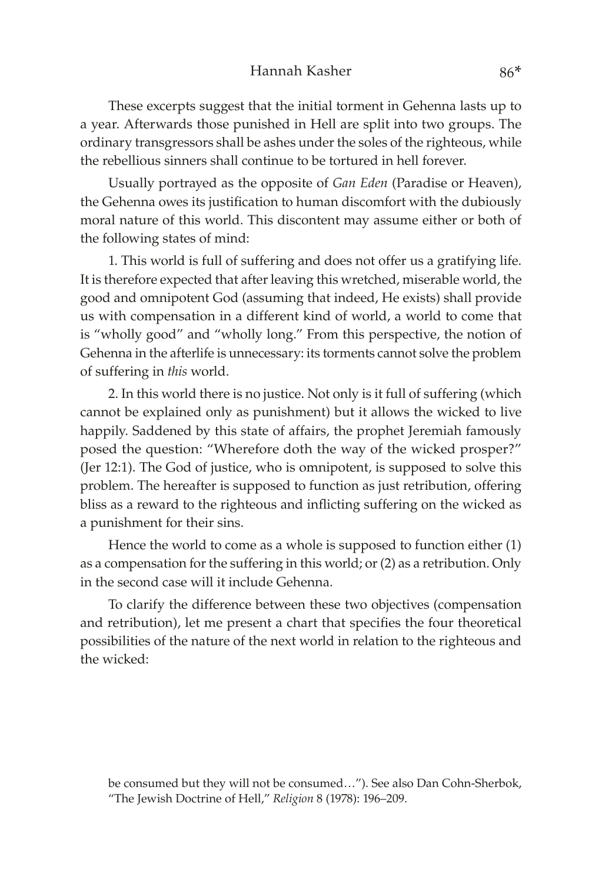These excerpts suggest that the initial torment in Gehenna lasts up to a year. Afterwards those punished in Hell are split into two groups. The ordinary transgressors shall be ashes under the soles of the righteous, while the rebellious sinners shall continue to be tortured in hell forever.

Usually portrayed as the opposite of *Gan Eden* (Paradise or Heaven), the Gehenna owes its justification to human discomfort with the dubiously moral nature of this world. This discontent may assume either or both of the following states of mind:

1. This world is full of suffering and does not offer us a gratifying life. It is therefore expected that after leaving this wretched, miserable world, the good and omnipotent God (assuming that indeed, He exists) shall provide us with compensation in a different kind of world, a world to come that is "wholly good" and "wholly long." From this perspective, the notion of Gehenna in the afterlife is unnecessary: its torments cannot solve the problem of suffering in *this* world.

2. In this world there is no justice. Not only is it full of suffering (which cannot be explained only as punishment) but it allows the wicked to live happily. Saddened by this state of affairs, the prophet Jeremiah famously posed the question: "Wherefore doth the way of the wicked prosper?" (Jer 12:1). The God of justice, who is omnipotent, is supposed to solve this problem. The hereafter is supposed to function as just retribution, offering bliss as a reward to the righteous and inflicting suffering on the wicked as a punishment for their sins.

Hence the world to come as a whole is supposed to function either (1) as a compensation for the suffering in this world; or (2) as a retribution. Only in the second case will it include Gehenna.

To clarify the difference between these two objectives (compensation and retribution), let me present a chart that specifies the four theoretical possibilities of the nature of the next world in relation to the righteous and the wicked:

be consumed but they will not be consumed…"). See also Dan Cohn-Sherbok, "The Jewish Doctrine of Hell," *Religion* 8 (1978): 196–209.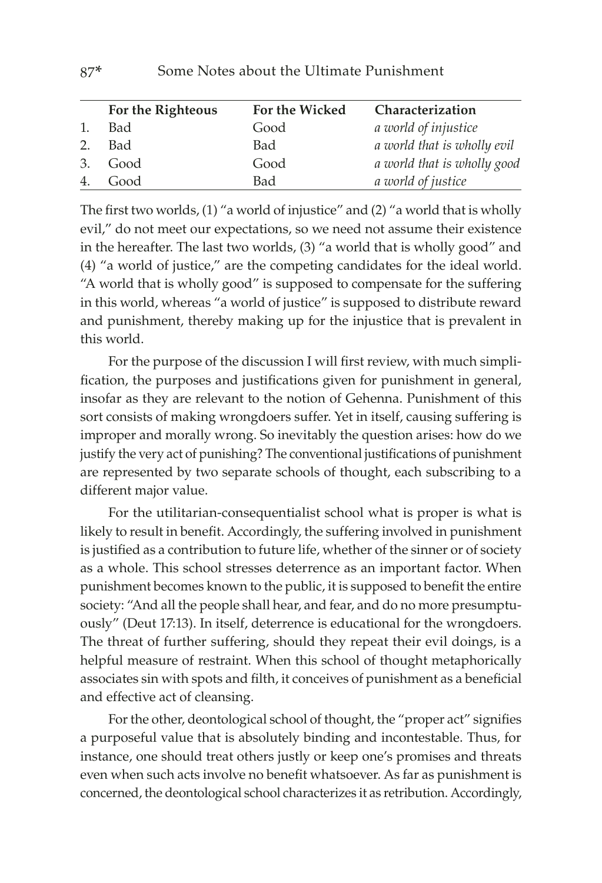|    | For the Righteous | For the Wicked | Characterization            |
|----|-------------------|----------------|-----------------------------|
| 1. | Bad               | Good           | a world of injustice        |
| 2. | Bad               | Bad            | a world that is wholly evil |
| 3. | Good              | Good           | a world that is wholly good |
| 4. | Good              | Bad            | a world of justice          |

The first two worlds, (1) "a world of injustice" and (2) "a world that is wholly evil," do not meet our expectations, so we need not assume their existence in the hereafter. The last two worlds, (3) "a world that is wholly good" and (4) "a world of justice," are the competing candidates for the ideal world. "A world that is wholly good" is supposed to compensate for the suffering in this world, whereas "a world of justice" is supposed to distribute reward and punishment, thereby making up for the injustice that is prevalent in this world.

For the purpose of the discussion I will first review, with much simplification, the purposes and justifications given for punishment in general, insofar as they are relevant to the notion of Gehenna. Punishment of this sort consists of making wrongdoers suffer. Yet in itself, causing suffering is improper and morally wrong. So inevitably the question arises: how do we justify the very act of punishing? The conventional justifications of punishment are represented by two separate schools of thought, each subscribing to a different major value.

For the utilitarian-consequentialist school what is proper is what is likely to result in benefit. Accordingly, the suffering involved in punishment is justified as a contribution to future life, whether of the sinner or of society as a whole. This school stresses deterrence as an important factor. When punishment becomes known to the public, it is supposed to benefit the entire society: "And all the people shall hear, and fear, and do no more presumptuously" (Deut 17:13). In itself, deterrence is educational for the wrongdoers. The threat of further suffering, should they repeat their evil doings, is a helpful measure of restraint. When this school of thought metaphorically associates sin with spots and filth, it conceives of punishment as a beneficial and effective act of cleansing.

For the other, deontological school of thought, the "proper act" signifies a purposeful value that is absolutely binding and incontestable. Thus, for instance, one should treat others justly or keep one's promises and threats even when such acts involve no benefit whatsoever. As far as punishment is concerned, the deontological school characterizes it as retribution. Accordingly,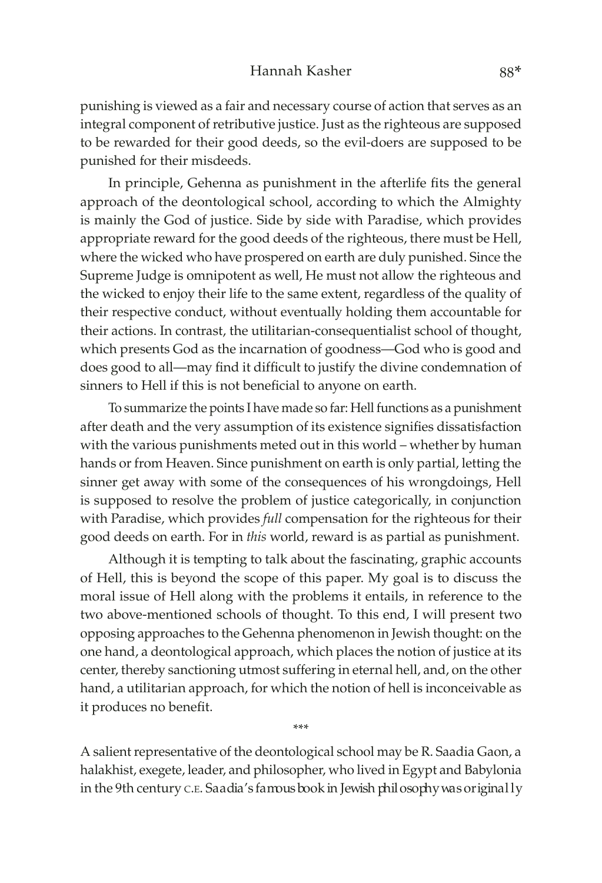punishing is viewed as a fair and necessary course of action that serves as an integral component of retributive justice. Just as the righteous are supposed to be rewarded for their good deeds, so the evil-doers are supposed to be punished for their misdeeds.

In principle, Gehenna as punishment in the afterlife fits the general approach of the deontological school, according to which the Almighty is mainly the God of justice. Side by side with Paradise, which provides appropriate reward for the good deeds of the righteous, there must be Hell, where the wicked who have prospered on earth are duly punished. Since the Supreme Judge is omnipotent as well, He must not allow the righteous and the wicked to enjoy their life to the same extent, regardless of the quality of their respective conduct, without eventually holding them accountable for their actions. In contrast, the utilitarian-consequentialist school of thought, which presents God as the incarnation of goodness—God who is good and does good to all—may find it difficult to justify the divine condemnation of sinners to Hell if this is not beneficial to anyone on earth.

To summarize the points I have made so far: Hell functions as a punishment after death and the very assumption of its existence signifies dissatisfaction with the various punishments meted out in this world – whether by human hands or from Heaven. Since punishment on earth is only partial, letting the sinner get away with some of the consequences of his wrongdoings, Hell is supposed to resolve the problem of justice categorically, in conjunction with Paradise, which provides *full* compensation for the righteous for their good deeds on earth. For in *this* world, reward is as partial as punishment.

Although it is tempting to talk about the fascinating, graphic accounts of Hell, this is beyond the scope of this paper. My goal is to discuss the moral issue of Hell along with the problems it entails, in reference to the two above-mentioned schools of thought. To this end, I will present two opposing approaches to the Gehenna phenomenon in Jewish thought: on the one hand, a deontological approach, which places the notion of justice at its center, thereby sanctioning utmost suffering in eternal hell, and, on the other hand, a utilitarian approach, for which the notion of hell is inconceivable as it produces no benefit.

A salient representative of the deontological school may be R. Saadia Gaon, a halakhist, exegete, leader, and philosopher, who lived in Egypt and Babylonia in the 9th century c.e. Saadia's famous book in Jewish philosophy was original ly

\*\*\*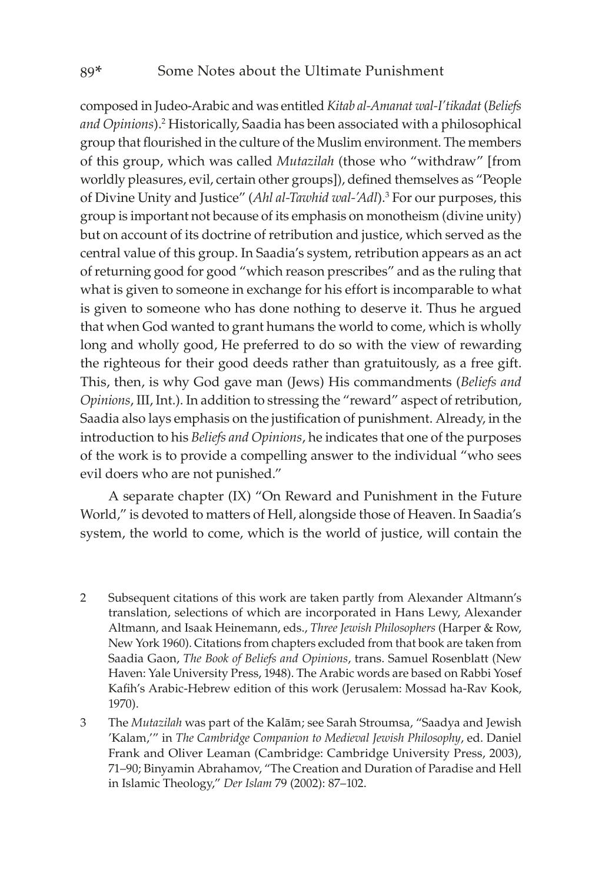composed in Judeo-Arabic and was entitled *Kitab al-Amanat wal-I'tikadat* (*Beliefs and Opinions*).2 Historically, Saadia has been associated with a philosophical group that flourished in the culture of the Muslim environment. The members of this group, which was called *Mutazilah* (those who "withdraw" [from worldly pleasures, evil, certain other groups]), defined themselves as "People of Divine Unity and Justice" (Ahl al-Tawhid wal-'Adl).<sup>3</sup> For our purposes, this group is important not because of its emphasis on monotheism (divine unity) but on account of its doctrine of retribution and justice, which served as the central value of this group. In Saadia's system, retribution appears as an act of returning good for good "which reason prescribes" and as the ruling that what is given to someone in exchange for his effort is incomparable to what is given to someone who has done nothing to deserve it. Thus he argued that when God wanted to grant humans the world to come, which is wholly long and wholly good, He preferred to do so with the view of rewarding the righteous for their good deeds rather than gratuitously, as a free gift. This, then, is why God gave man (Jews) His commandments (*Beliefs and Opinions*, III, Int.). In addition to stressing the "reward" aspect of retribution, Saadia also lays emphasis on the justification of punishment. Already, in the introduction to his *Beliefs and Opinions*, he indicates that one of the purposes of the work is to provide a compelling answer to the individual "who sees evil doers who are not punished."

A separate chapter (IX) "On Reward and Punishment in the Future World," is devoted to matters of Hell, alongside those of Heaven. In Saadia's system, the world to come, which is the world of justice, will contain the

- 2 Subsequent citations of this work are taken partly from Alexander Altmann's translation, selections of which are incorporated in Hans Lewy, Alexander Altmann, and Isaak Heinemann, eds., *Three Jewish Philosophers* (Harper & Row, New York 1960). Citations from chapters excluded from that book are taken from Saadia Gaon, *The Book of Beliefs and Opinions*, trans. Samuel Rosenblatt (New Haven: Yale University Press, 1948). The Arabic words are based on Rabbi Yosef Kafih's Arabic-Hebrew edition of this work (Jerusalem: Mossad ha-Rav Kook, 1970).
- 3 The *Mutazilah* was part of the Kalām; see Sarah Stroumsa, "Saadya and Jewish 'Kalam,'" in *The Cambridge Companion to Medieval Jewish Philosophy*, ed. Daniel Frank and Oliver Leaman (Cambridge: Cambridge University Press, 2003), 71–90; Binyamin Abrahamov, "The Creation and Duration of Paradise and Hell in Islamic Theology," *Der Islam* 79 (2002): 87–102.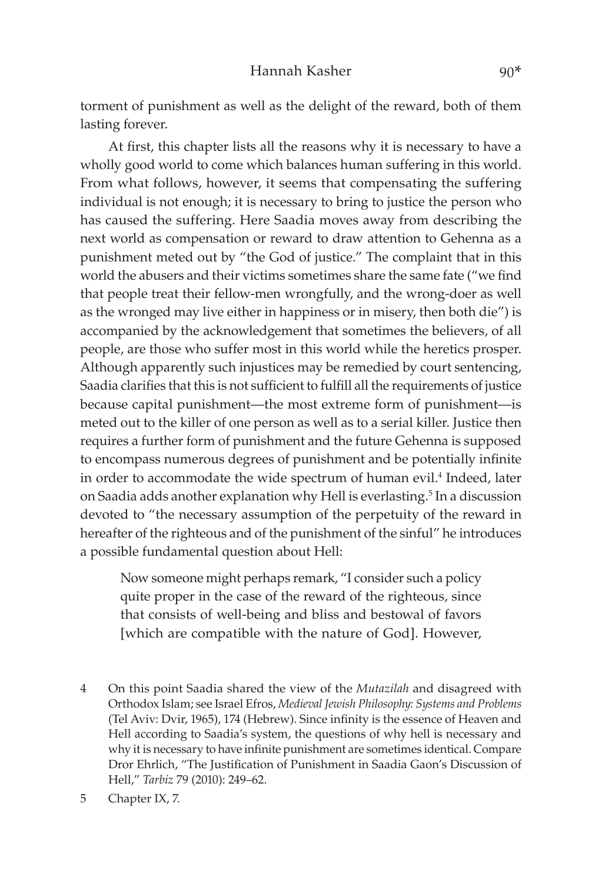torment of punishment as well as the delight of the reward, both of them lasting forever.

At first, this chapter lists all the reasons why it is necessary to have a wholly good world to come which balances human suffering in this world. From what follows, however, it seems that compensating the suffering individual is not enough; it is necessary to bring to justice the person who has caused the suffering. Here Saadia moves away from describing the next world as compensation or reward to draw attention to Gehenna as a punishment meted out by "the God of justice." The complaint that in this world the abusers and their victims sometimes share the same fate ("we find that people treat their fellow-men wrongfully, and the wrong-doer as well as the wronged may live either in happiness or in misery, then both die") is accompanied by the acknowledgement that sometimes the believers, of all people, are those who suffer most in this world while the heretics prosper. Although apparently such injustices may be remedied by court sentencing, Saadia clarifies that this is not sufficient to fulfill all the requirements of justice because capital punishment—the most extreme form of punishment—is meted out to the killer of one person as well as to a serial killer. Justice then requires a further form of punishment and the future Gehenna is supposed to encompass numerous degrees of punishment and be potentially infinite in order to accommodate the wide spectrum of human evil.<sup>4</sup> Indeed, later on Saadia adds another explanation why Hell is everlasting.<sup>5</sup> In a discussion devoted to "the necessary assumption of the perpetuity of the reward in hereafter of the righteous and of the punishment of the sinful" he introduces a possible fundamental question about Hell:

Now someone might perhaps remark, "I consider such a policy quite proper in the case of the reward of the righteous, since that consists of well-being and bliss and bestowal of favors [which are compatible with the nature of God]. However,

4 On this point Saadia shared the view of the *Mutazilah* and disagreed with Orthodox Islam; see Israel Efros, *Medieval Jewish Philosophy: Systems and Problems* (Tel Aviv: Dvir, 1965), 174 (Hebrew). Since infinity is the essence of Heaven and Hell according to Saadia's system, the questions of why hell is necessary and why it is necessary to have infinite punishment are sometimes identical. Compare Dror Ehrlich, "The Justification of Punishment in Saadia Gaon's Discussion of Hell," *Tarbiz* 79 (2010): 249–62.

<sup>5</sup> Chapter IX, 7.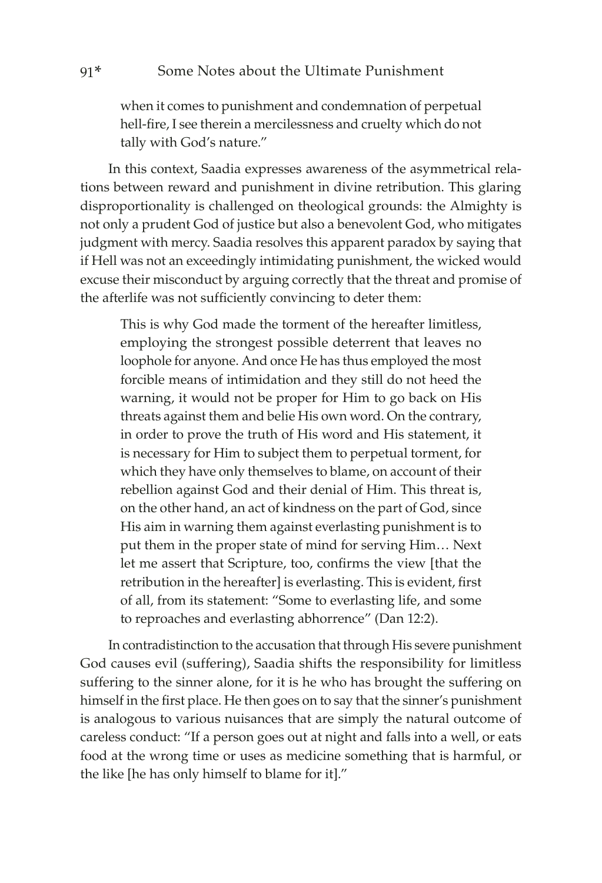when it comes to punishment and condemnation of perpetual hell-fire, I see therein a mercilessness and cruelty which do not tally with God's nature."

In this context, Saadia expresses awareness of the asymmetrical relations between reward and punishment in divine retribution. This glaring disproportionality is challenged on theological grounds: the Almighty is not only a prudent God of justice but also a benevolent God, who mitigates judgment with mercy. Saadia resolves this apparent paradox by saying that if Hell was not an exceedingly intimidating punishment, the wicked would excuse their misconduct by arguing correctly that the threat and promise of the afterlife was not sufficiently convincing to deter them:

This is why God made the torment of the hereafter limitless, employing the strongest possible deterrent that leaves no loophole for anyone. And once He has thus employed the most forcible means of intimidation and they still do not heed the warning, it would not be proper for Him to go back on His threats against them and belie His own word. On the contrary, in order to prove the truth of His word and His statement, it is necessary for Him to subject them to perpetual torment, for which they have only themselves to blame, on account of their rebellion against God and their denial of Him. This threat is, on the other hand, an act of kindness on the part of God, since His aim in warning them against everlasting punishment is to put them in the proper state of mind for serving Him… Next let me assert that Scripture, too, confirms the view [that the retribution in the hereafter] is everlasting. This is evident, first of all, from its statement: "Some to everlasting life, and some to reproaches and everlasting abhorrence" (Dan 12:2).

In contradistinction to the accusation that through His severe punishment God causes evil (suffering), Saadia shifts the responsibility for limitless suffering to the sinner alone, for it is he who has brought the suffering on himself in the first place. He then goes on to say that the sinner's punishment is analogous to various nuisances that are simply the natural outcome of careless conduct: "If a person goes out at night and falls into a well, or eats food at the wrong time or uses as medicine something that is harmful, or the like [he has only himself to blame for it]."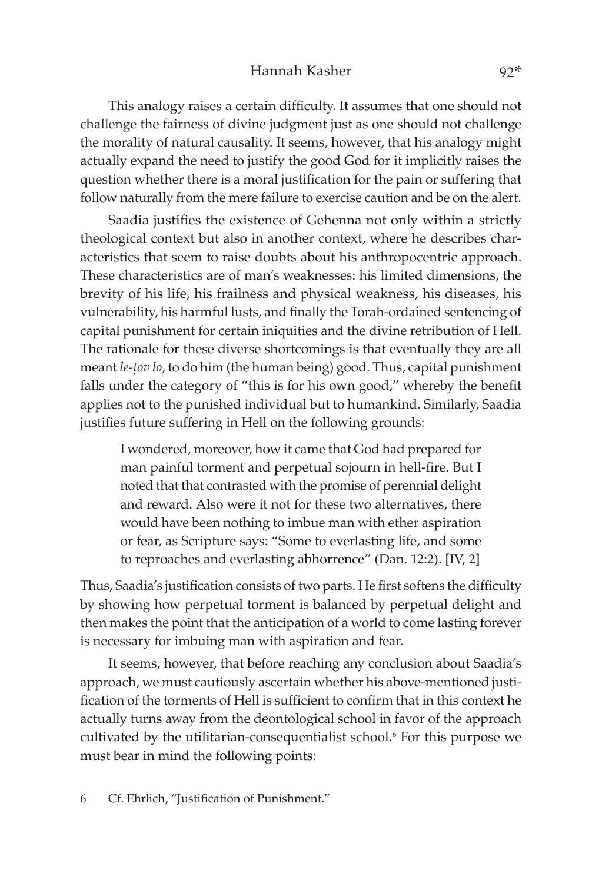#### Hannah Kasher 92\*

This analogy raises a certain difficulty. It assumes that one should not challenge the fairness of divine judgment just as one should not challenge the morality of natural causality. It seems, however, that his analogy might actually expand the need to justify the good God for it implicitly raises the question whether there is a moral justification for the pain or suffering that follow naturally from the mere failure to exercise caution and be on the alert.

Saadia justifies the existence of Gehenna not only within a strictly theological context but also in another context, where he describes characteristics that seem to raise doubts about his anthropocentric approach. These characteristics are of man's weaknesses: his limited dimensions, the brevity of his life, his frailness and physical weakness, his diseases, his vulnerability, his harmful lusts, and finally the Torah-ordained sentencing of capital punishment for certain iniquities and the divine retribution of Hell. The rationale for these diverse shortcomings is that eventually they are all meant *le-ûov lo*, to do him (the human being) good. Thus, capital punishment falls under the category of "this is for his own good," whereby the benefit applies not to the punished individual but to humankind. Similarly, Saadia justifies future suffering in Hell on the following grounds:

I wondered, moreover, how it came that God had prepared for man painful torment and perpetual sojourn in hell-fire. But I noted that that contrasted with the promise of perennial delight and reward. Also were it not for these two alternatives, there would have been nothing to imbue man with ether aspiration or fear, as Scripture says: "Some to everlasting life, and some to reproaches and everlasting abhorrence" (Dan. 12:2). [IV, 2]

Thus, Saadia's justification consists of two parts. He first softens the difficulty by showing how perpetual torment is balanced by perpetual delight and then makes the point that the anticipation of a world to come lasting forever is necessary for imbuing man with aspiration and fear.

It seems, however, that before reaching any conclusion about Saadia's approach, we must cautiously ascertain whether his above-mentioned justification of the torments of Hell is sufficient to confirm that in this context he actually turns away from the deontological school in favor of the approach cultivated by the utilitarian-consequentialist school.<sup>6</sup> For this purpose we must bear in mind the following points: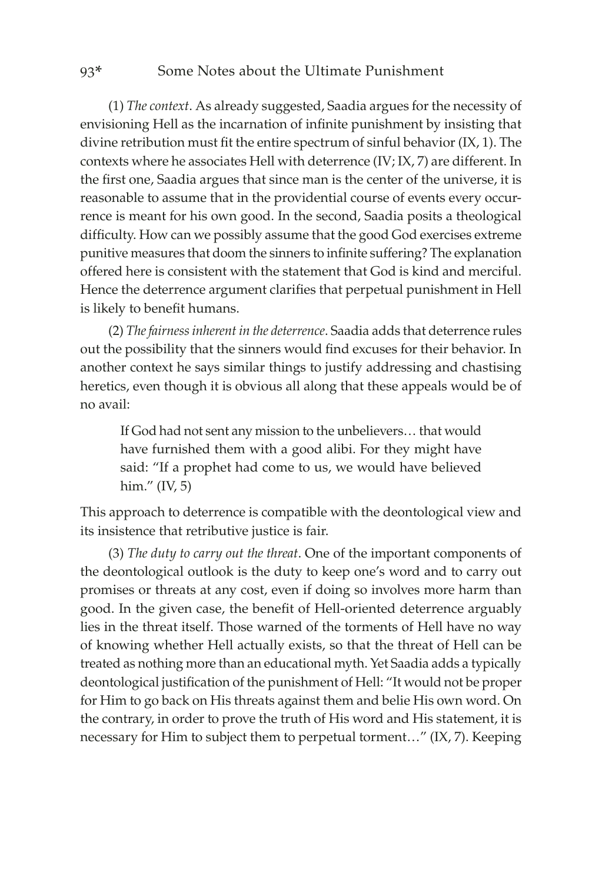#### 93\* Some Notes about the Ultimate Punishment

(1) *The context*. As already suggested, Saadia argues for the necessity of envisioning Hell as the incarnation of infinite punishment by insisting that divine retribution must fit the entire spectrum of sinful behavior (IX, 1). The contexts where he associates Hell with deterrence (IV; IX, 7) are different. In the first one, Saadia argues that since man is the center of the universe, it is reasonable to assume that in the providential course of events every occurrence is meant for his own good. In the second, Saadia posits a theological difficulty. How can we possibly assume that the good God exercises extreme punitive measures that doom the sinners to infinite suffering? The explanation offered here is consistent with the statement that God is kind and merciful. Hence the deterrence argument clarifies that perpetual punishment in Hell is likely to benefit humans.

(2) *The fairness inherent in the deterrence*. Saadia adds that deterrence rules out the possibility that the sinners would find excuses for their behavior. In another context he says similar things to justify addressing and chastising heretics, even though it is obvious all along that these appeals would be of no avail:

If God had not sent any mission to the unbelievers… that would have furnished them with a good alibi. For they might have said: "If a prophet had come to us, we would have believed him." (IV, 5)

This approach to deterrence is compatible with the deontological view and its insistence that retributive justice is fair.

(3) *The duty to carry out the threat*. One of the important components of the deontological outlook is the duty to keep one's word and to carry out promises or threats at any cost, even if doing so involves more harm than good. In the given case, the benefit of Hell-oriented deterrence arguably lies in the threat itself. Those warned of the torments of Hell have no way of knowing whether Hell actually exists, so that the threat of Hell can be treated as nothing more than an educational myth. Yet Saadia adds a typically deontological justification of the punishment of Hell: "It would not be proper for Him to go back on His threats against them and belie His own word. On the contrary, in order to prove the truth of His word and His statement, it is necessary for Him to subject them to perpetual torment…" (IX, 7). Keeping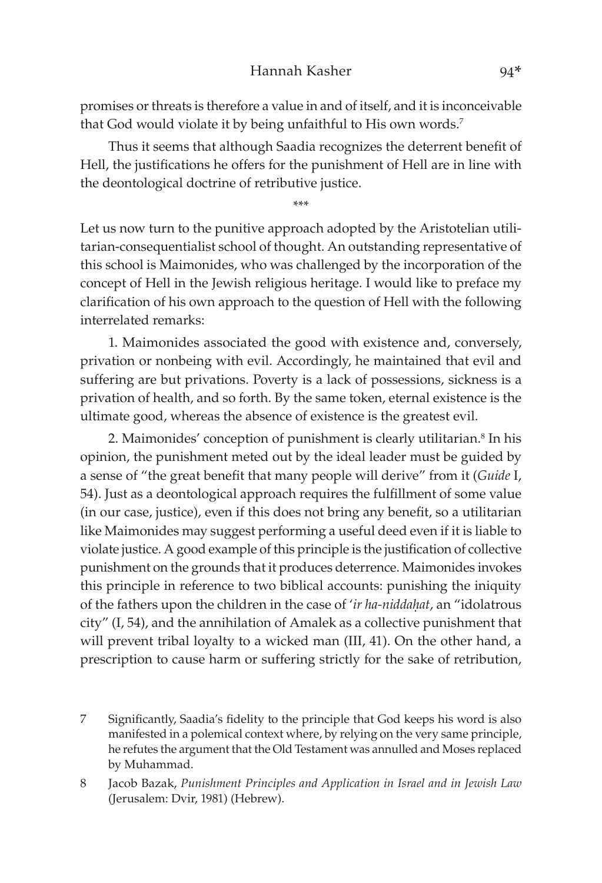#### Hannah Kasher 94\*

promises or threats is therefore a value in and of itself, and it is inconceivable that God would violate it by being unfaithful to His own words.<sup>7</sup>

Thus it seems that although Saadia recognizes the deterrent benefit of Hell, the justifications he offers for the punishment of Hell are in line with the deontological doctrine of retributive justice.

\*\*\*

Let us now turn to the punitive approach adopted by the Aristotelian utilitarian-consequentialist school of thought. An outstanding representative of this school is Maimonides, who was challenged by the incorporation of the concept of Hell in the Jewish religious heritage. I would like to preface my clarification of his own approach to the question of Hell with the following interrelated remarks:

1. Maimonides associated the good with existence and, conversely, privation or nonbeing with evil. Accordingly, he maintained that evil and suffering are but privations. Poverty is a lack of possessions, sickness is a privation of health, and so forth. By the same token, eternal existence is the ultimate good, whereas the absence of existence is the greatest evil.

2. Maimonides' conception of punishment is clearly utilitarian.<sup>8</sup> In his opinion, the punishment meted out by the ideal leader must be guided by a sense of "the great benefit that many people will derive" from it (*Guide* I, 54). Just as a deontological approach requires the fulfillment of some value (in our case, justice), even if this does not bring any benefit, so a utilitarian like Maimonides may suggest performing a useful deed even if it is liable to violate justice. A good example of this principle is the justification of collective punishment on the grounds that it produces deterrence. Maimonides invokes this principle in reference to two biblical accounts: punishing the iniquity of the fathers upon the children in the case of 'ir ha-niddahat, an "idolatrous city" (I, 54), and the annihilation of Amalek as a collective punishment that will prevent tribal loyalty to a wicked man (III, 41). On the other hand, a prescription to cause harm or suffering strictly for the sake of retribution,

- 7 Significantly, Saadia's fidelity to the principle that God keeps his word is also manifested in a polemical context where, by relying on the very same principle, he refutes the argument that the Old Testament was annulled and Moses replaced by Muhammad.
- 8 Jacob Bazak, *Punishment Principles and Application in Israel and in Jewish Law* (Jerusalem: Dvir, 1981) (Hebrew).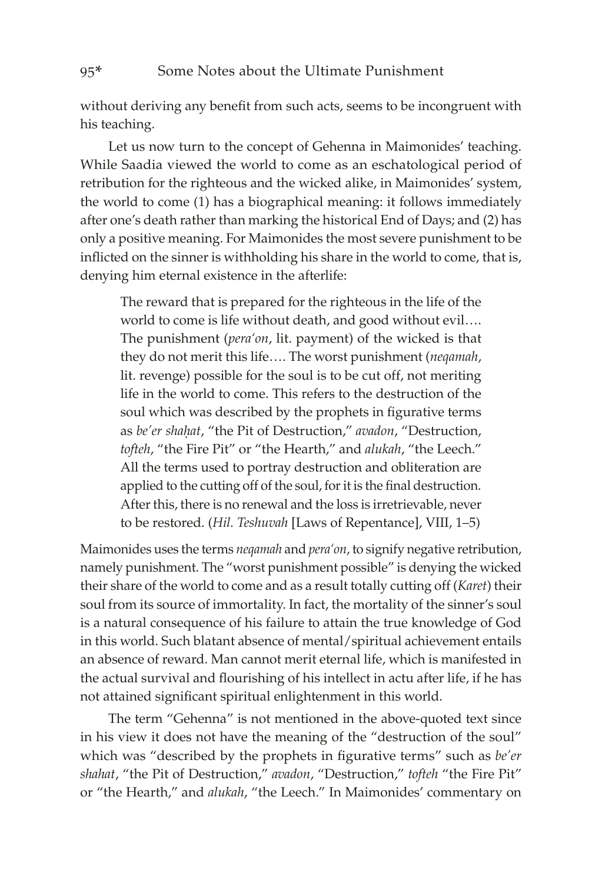without deriving any benefit from such acts, seems to be incongruent with his teaching.

Let us now turn to the concept of Gehenna in Maimonides' teaching. While Saadia viewed the world to come as an eschatological period of retribution for the righteous and the wicked alike, in Maimonides' system, the world to come (1) has a biographical meaning: it follows immediately after one's death rather than marking the historical End of Days; and (2) has only a positive meaning. For Maimonides the most severe punishment to be inflicted on the sinner is withholding his share in the world to come, that is, denying him eternal existence in the afterlife:

The reward that is prepared for the righteous in the life of the world to come is life without death, and good without evil…. The punishment (*pera'on*, lit. payment) of the wicked is that they do not merit this life…. The worst punishment (*neqamah*, lit. revenge) possible for the soul is to be cut off, not meriting life in the world to come. This refers to the destruction of the soul which was described by the prophets in figurative terms as *be'er shahat*, "the Pit of Destruction," *avadon*, "Destruction, *tofteh*, "the Fire Pit" or "the Hearth," and *alukah*, "the Leech." All the terms used to portray destruction and obliteration are applied to the cutting off of the soul, for it is the final destruction. After this, there is no renewal and the loss is irretrievable, never to be restored. (*Hil. Teshuvah* [Laws of Repentance], VIII, 1–5)

Maimonides uses the terms *neqamah* and *pera'on*, to signify negative retribution, namely punishment. The "worst punishment possible" is denying the wicked their share of the world to come and as a result totally cutting off (*Karet*) their soul from its source of immortality. In fact, the mortality of the sinner's soul is a natural consequence of his failure to attain the true knowledge of God in this world. Such blatant absence of mental/spiritual achievement entails an absence of reward. Man cannot merit eternal life, which is manifested in the actual survival and flourishing of his intellect in actu after life, if he has not attained significant spiritual enlightenment in this world.

The term "Gehenna" is not mentioned in the above-quoted text since in his view it does not have the meaning of the "destruction of the soul" which was "described by the prophets in figurative terms" such as *be'er shahat*, "the Pit of Destruction," *avadon*, "Destruction," *tofteh* "the Fire Pit" or "the Hearth," and *alukah*, "the Leech." In Maimonides' commentary on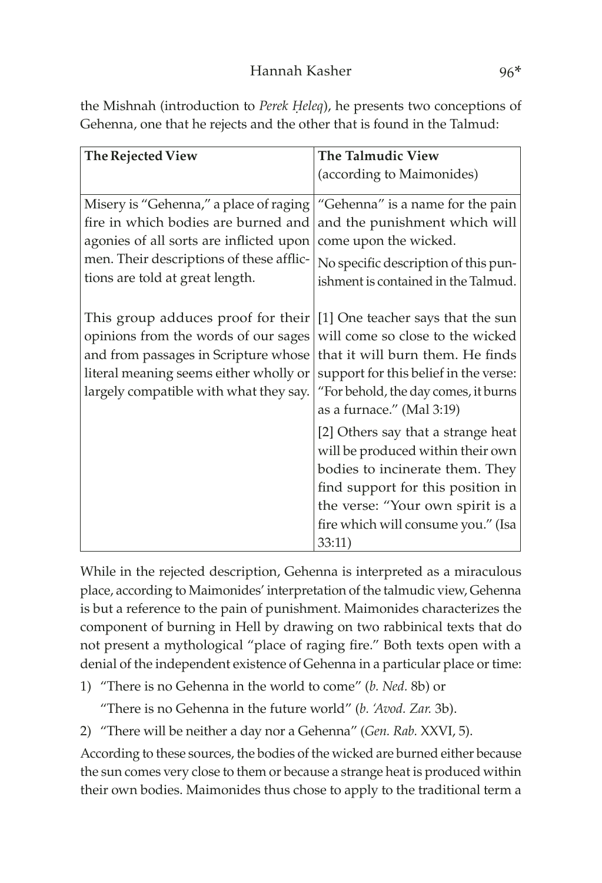the Mishnah (introduction to *Perek Heleq*), he presents two conceptions of Gehenna, one that he rejects and the other that is found in the Talmud:

| The Rejected View                                                                                                                                                                                      | The Talmudic View                                                                                                                                                                                                                   |  |  |
|--------------------------------------------------------------------------------------------------------------------------------------------------------------------------------------------------------|-------------------------------------------------------------------------------------------------------------------------------------------------------------------------------------------------------------------------------------|--|--|
|                                                                                                                                                                                                        | (according to Maimonides)                                                                                                                                                                                                           |  |  |
| Misery is "Gehenna," a place of raging<br>fire in which bodies are burned and<br>agonies of all sorts are inflicted upon<br>men. Their descriptions of these afflic-                                   | "Gehenna" is a name for the pain<br>and the punishment which will<br>come upon the wicked.<br>No specific description of this pun-                                                                                                  |  |  |
| tions are told at great length.                                                                                                                                                                        | ishment is contained in the Talmud.                                                                                                                                                                                                 |  |  |
| This group adduces proof for their<br>opinions from the words of our sages<br>and from passages in Scripture whose<br>literal meaning seems either wholly or<br>largely compatible with what they say. | [1] One teacher says that the sun<br>will come so close to the wicked<br>that it will burn them. He finds<br>support for this belief in the verse:<br>"For behold, the day comes, it burns<br>as a furnace." (Mal 3:19)             |  |  |
|                                                                                                                                                                                                        | [2] Others say that a strange heat<br>will be produced within their own<br>bodies to incinerate them. They<br>find support for this position in<br>the verse: "Your own spirit is a<br>fire which will consume you." (Isa<br>33:11) |  |  |

While in the rejected description, Gehenna is interpreted as a miraculous place, according to Maimonides' interpretation of the talmudic view, Gehenna is but a reference to the pain of punishment. Maimonides characterizes the component of burning in Hell by drawing on two rabbinical texts that do not present a mythological "place of raging fire." Both texts open with a denial of the independent existence of Gehenna in a particular place or time:

1) "There is no Gehenna in the world to come" (*b. Ned.* 8b) or

"There is no Gehenna in the future world" (*b. 'Avod. Zar.* 3b).

2) "There will be neither a day nor a Gehenna" (*Gen. Rab.* XXVI, 5).

According to these sources, the bodies of the wicked are burned either because the sun comes very close to them or because a strange heat is produced within their own bodies. Maimonides thus chose to apply to the traditional term a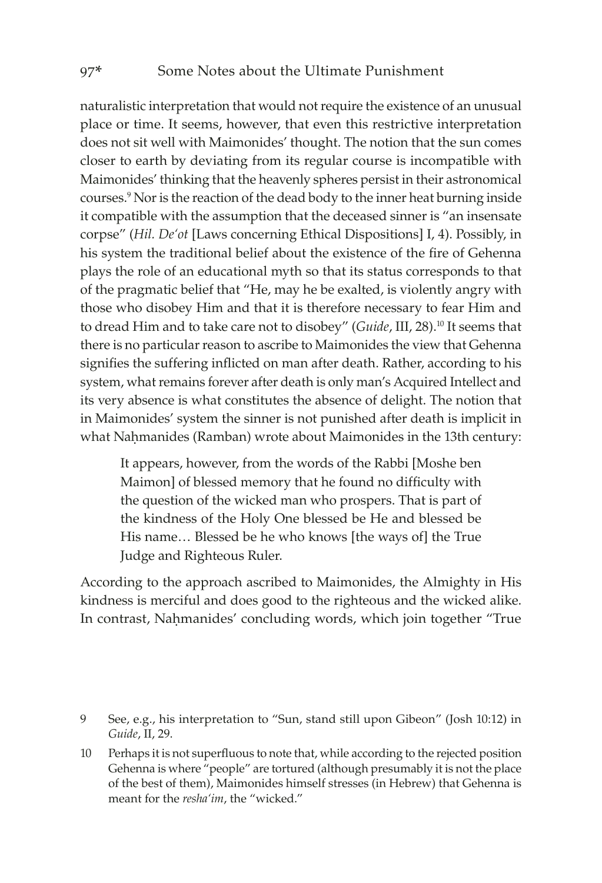naturalistic interpretation that would not require the existence of an unusual place or time. It seems, however, that even this restrictive interpretation does not sit well with Maimonides' thought. The notion that the sun comes closer to earth by deviating from its regular course is incompatible with Maimonides' thinking that the heavenly spheres persist in their astronomical courses.9 Nor is the reaction of the dead body to the inner heat burning inside it compatible with the assumption that the deceased sinner is "an insensate corpse" (*Hil. De'ot* [Laws concerning Ethical Dispositions] I, 4). Possibly, in his system the traditional belief about the existence of the fire of Gehenna plays the role of an educational myth so that its status corresponds to that of the pragmatic belief that "He, may he be exalted, is violently angry with those who disobey Him and that it is therefore necessary to fear Him and to dread Him and to take care not to disobey" (*Guide*, III, 28).10 It seems that there is no particular reason to ascribe to Maimonides the view that Gehenna signifies the suffering inflicted on man after death. Rather, according to his system, what remains forever after death is only man's Acquired Intellect and its very absence is what constitutes the absence of delight. The notion that in Maimonides' system the sinner is not punished after death is implicit in what Nahmanides (Ramban) wrote about Maimonides in the 13th century:

It appears, however, from the words of the Rabbi [Moshe ben Maimon] of blessed memory that he found no difficulty with the question of the wicked man who prospers. That is part of the kindness of the Holy One blessed be He and blessed be His name… Blessed be he who knows [the ways of] the True Judge and Righteous Ruler.

According to the approach ascribed to Maimonides, the Almighty in His kindness is merciful and does good to the righteous and the wicked alike. In contrast, Nahmanides' concluding words, which join together "True

<sup>9</sup> See, e.g., his interpretation to "Sun, stand still upon Gibeon" (Josh 10:12) in *Guide*, II, 29.

<sup>10</sup> Perhaps it is not superfluous to note that, while according to the rejected position Gehenna is where "people" are tortured (although presumably it is not the place of the best of them), Maimonides himself stresses (in Hebrew) that Gehenna is meant for the *resha'im*, the "wicked."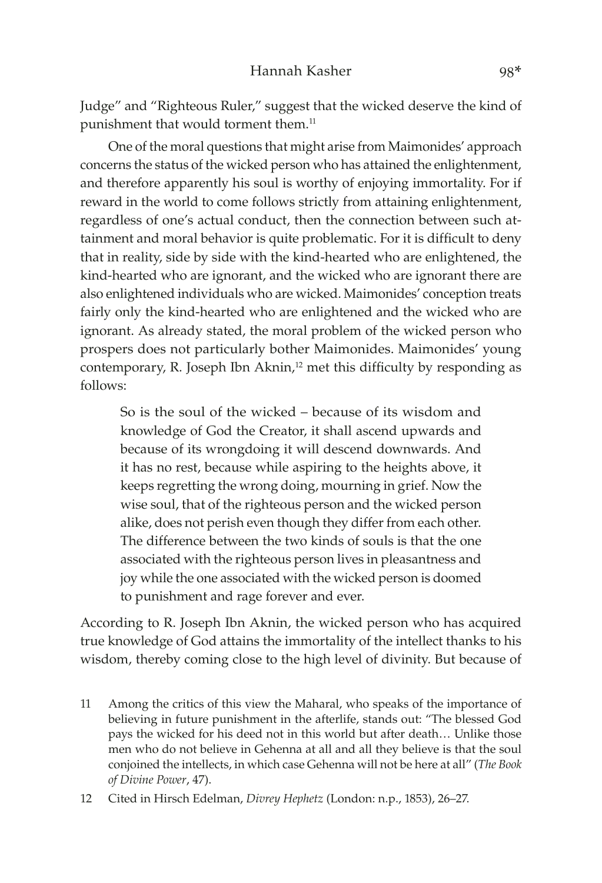Judge" and "Righteous Ruler," suggest that the wicked deserve the kind of punishment that would torment them.<sup>11</sup>

One of the moral questions that might arise from Maimonides' approach concerns the status of the wicked person who has attained the enlightenment, and therefore apparently his soul is worthy of enjoying immortality. For if reward in the world to come follows strictly from attaining enlightenment, regardless of one's actual conduct, then the connection between such attainment and moral behavior is quite problematic. For it is difficult to deny that in reality, side by side with the kind-hearted who are enlightened, the kind-hearted who are ignorant, and the wicked who are ignorant there are also enlightened individuals who are wicked. Maimonides' conception treats fairly only the kind-hearted who are enlightened and the wicked who are ignorant. As already stated, the moral problem of the wicked person who prospers does not particularly bother Maimonides. Maimonides' young contemporary, R. Joseph Ibn Aknin,<sup>12</sup> met this difficulty by responding as follows:

So is the soul of the wicked – because of its wisdom and knowledge of God the Creator, it shall ascend upwards and because of its wrongdoing it will descend downwards. And it has no rest, because while aspiring to the heights above, it keeps regretting the wrong doing, mourning in grief. Now the wise soul, that of the righteous person and the wicked person alike, does not perish even though they differ from each other. The difference between the two kinds of souls is that the one associated with the righteous person lives in pleasantness and joy while the one associated with the wicked person is doomed to punishment and rage forever and ever.

According to R. Joseph Ibn Aknin, the wicked person who has acquired true knowledge of God attains the immortality of the intellect thanks to his wisdom, thereby coming close to the high level of divinity. But because of

11 Among the critics of this view the Maharal, who speaks of the importance of believing in future punishment in the afterlife, stands out: "The blessed God pays the wicked for his deed not in this world but after death… Unlike those men who do not believe in Gehenna at all and all they believe is that the soul conjoined the intellects, in which case Gehenna will not be here at all" (*The Book of Divine Power*, 47).

<sup>12</sup> Cited in Hirsch Edelman, *Divrey Hephetz* (London: n.p., 1853), 26–27.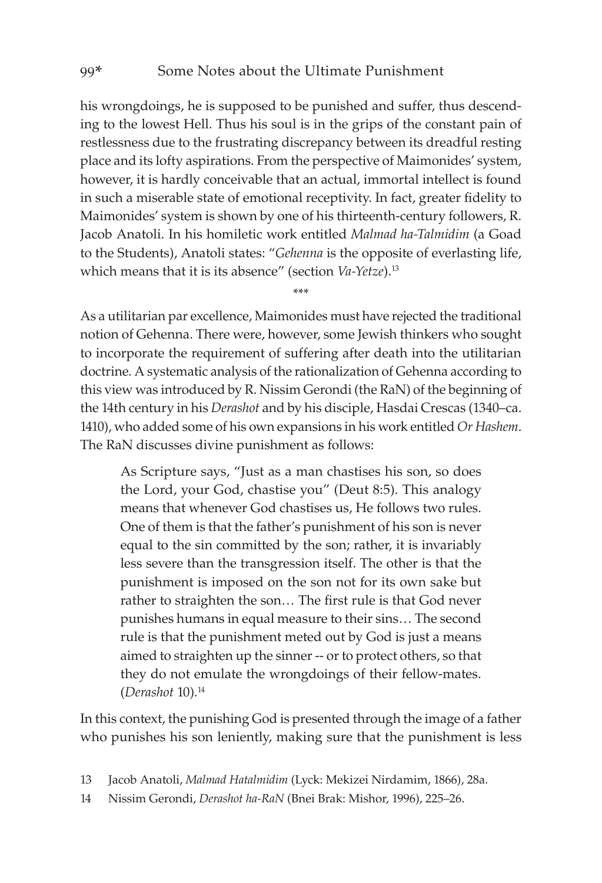his wrongdoings, he is supposed to be punished and suffer, thus descending to the lowest Hell. Thus his soul is in the grips of the constant pain of restlessness due to the frustrating discrepancy between its dreadful resting place and its lofty aspirations. From the perspective of Maimonides' system, however, it is hardly conceivable that an actual, immortal intellect is found in such a miserable state of emotional receptivity. In fact, greater fidelity to Maimonides' system is shown by one of his thirteenth-century followers, R. Jacob Anatoli. In his homiletic work entitled *Malmad ha-Talmidim* (a Goad to the Students), Anatoli states: "*Gehenna* is the opposite of everlasting life, which means that it is its absence" (section *Va-Yetze*).13

\*\*\*

As a utilitarian par excellence, Maimonides must have rejected the traditional notion of Gehenna. There were, however, some Jewish thinkers who sought to incorporate the requirement of suffering after death into the utilitarian doctrine. A systematic analysis of the rationalization of Gehenna according to this view was introduced by R. Nissim Gerondi (the RaN) of the beginning of the 14th century in his *Derashot* and by his disciple, Hasdai Crescas (1340–ca. 1410), who added some of his own expansions in his work entitled *Or Hashem*. The RaN discusses divine punishment as follows:

> As Scripture says, "Just as a man chastises his son, so does the Lord, your God, chastise you" (Deut 8:5). This analogy means that whenever God chastises us, He follows two rules. One of them is that the father's punishment of his son is never equal to the sin committed by the son; rather, it is invariably less severe than the transgression itself. The other is that the punishment is imposed on the son not for its own sake but rather to straighten the son… The first rule is that God never punishes humans in equal measure to their sins… The second rule is that the punishment meted out by God is just a means aimed to straighten up the sinner -- or to protect others, so that they do not emulate the wrongdoings of their fellow-mates. (*Derashot* 10).14

In this context, the punishing God is presented through the image of a father who punishes his son leniently, making sure that the punishment is less

- 13 Jacob Anatoli, *Malmad Hatalmidim* (Lyck: Mekizei Nirdamim, 1866), 28a.
- 14 Nissim Gerondi, *Derashot ha-RaN* (Bnei Brak: Mishor, 1996), 225–26.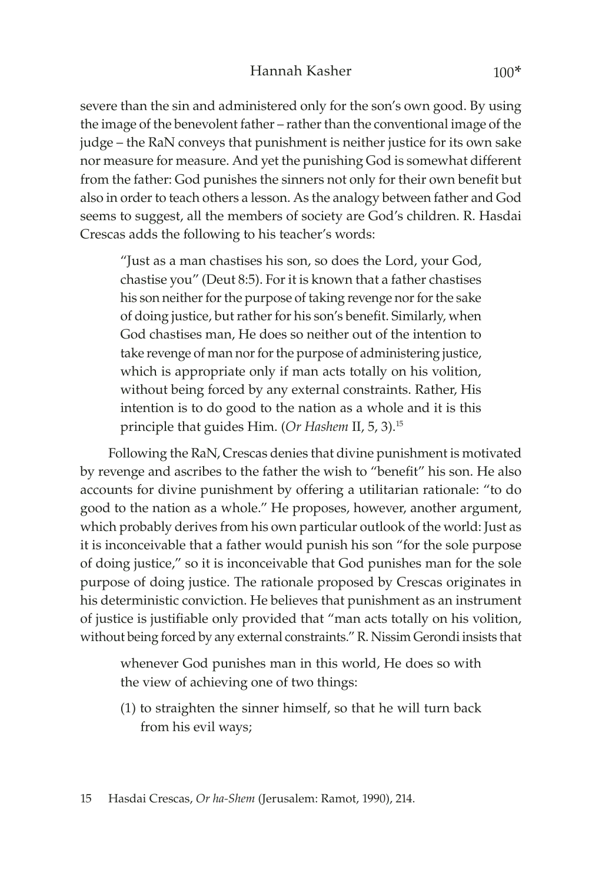severe than the sin and administered only for the son's own good. By using the image of the benevolent father – rather than the conventional image of the judge – the RaN conveys that punishment is neither justice for its own sake nor measure for measure. And yet the punishing God is somewhat different from the father: God punishes the sinners not only for their own benefit but also in order to teach others a lesson. As the analogy between father and God seems to suggest, all the members of society are God's children. R. Hasdai Crescas adds the following to his teacher's words:

"Just as a man chastises his son, so does the Lord, your God, chastise you" (Deut 8:5). For it is known that a father chastises his son neither for the purpose of taking revenge nor for the sake of doing justice, but rather for his son's benefit. Similarly, when God chastises man, He does so neither out of the intention to take revenge of man nor for the purpose of administering justice, which is appropriate only if man acts totally on his volition, without being forced by any external constraints. Rather, His intention is to do good to the nation as a whole and it is this principle that guides Him. (*Or Hashem* II, 5, 3).15

Following the RaN, Crescas denies that divine punishment is motivated by revenge and ascribes to the father the wish to "benefit" his son. He also accounts for divine punishment by offering a utilitarian rationale: "to do good to the nation as a whole." He proposes, however, another argument, which probably derives from his own particular outlook of the world: Just as it is inconceivable that a father would punish his son "for the sole purpose of doing justice," so it is inconceivable that God punishes man for the sole purpose of doing justice. The rationale proposed by Crescas originates in his deterministic conviction. He believes that punishment as an instrument of justice is justifiable only provided that "man acts totally on his volition, without being forced by any external constraints." R. Nissim Gerondi insists that

whenever God punishes man in this world, He does so with the view of achieving one of two things:

(1) to straighten the sinner himself, so that he will turn back from his evil ways;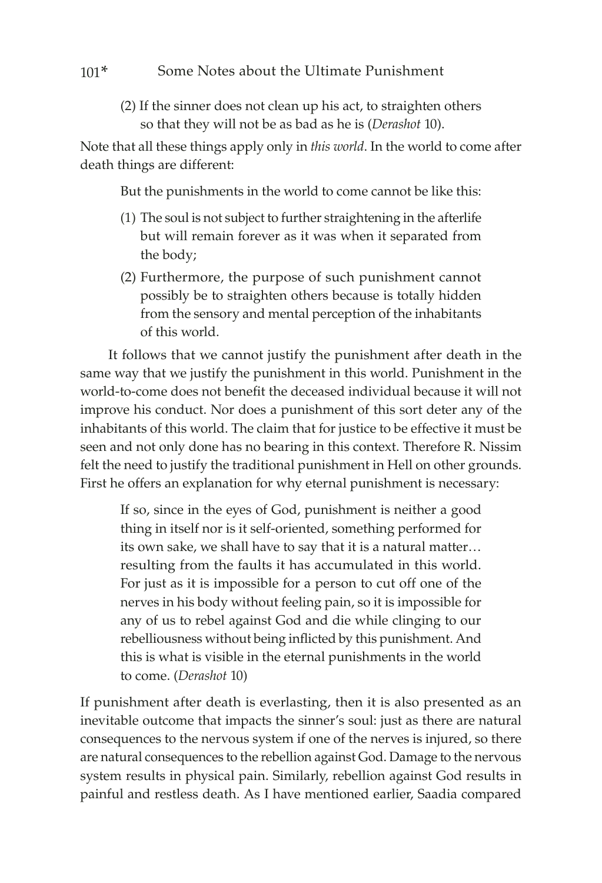### 101\* Some Notes about the Ultimate Punishment

(2) If the sinner does not clean up his act, to straighten others so that they will not be as bad as he is (*Derashot* 10).

Note that all these things apply only in *this world*. In the world to come after death things are different:

But the punishments in the world to come cannot be like this:

- (1) The soul is not subject to further straightening in the afterlife but will remain forever as it was when it separated from the body;
- (2) Furthermore, the purpose of such punishment cannot possibly be to straighten others because is totally hidden from the sensory and mental perception of the inhabitants of this world.

It follows that we cannot justify the punishment after death in the same way that we justify the punishment in this world. Punishment in the world-to-come does not benefit the deceased individual because it will not improve his conduct. Nor does a punishment of this sort deter any of the inhabitants of this world. The claim that for justice to be effective it must be seen and not only done has no bearing in this context. Therefore R. Nissim felt the need to justify the traditional punishment in Hell on other grounds. First he offers an explanation for why eternal punishment is necessary:

If so, since in the eyes of God, punishment is neither a good thing in itself nor is it self-oriented, something performed for its own sake, we shall have to say that it is a natural matter… resulting from the faults it has accumulated in this world. For just as it is impossible for a person to cut off one of the nerves in his body without feeling pain, so it is impossible for any of us to rebel against God and die while clinging to our rebelliousness without being inflicted by this punishment. And this is what is visible in the eternal punishments in the world to come. (*Derashot* 10)

If punishment after death is everlasting, then it is also presented as an inevitable outcome that impacts the sinner's soul: just as there are natural consequences to the nervous system if one of the nerves is injured, so there are natural consequences to the rebellion against God. Damage to the nervous system results in physical pain. Similarly, rebellion against God results in painful and restless death. As I have mentioned earlier, Saadia compared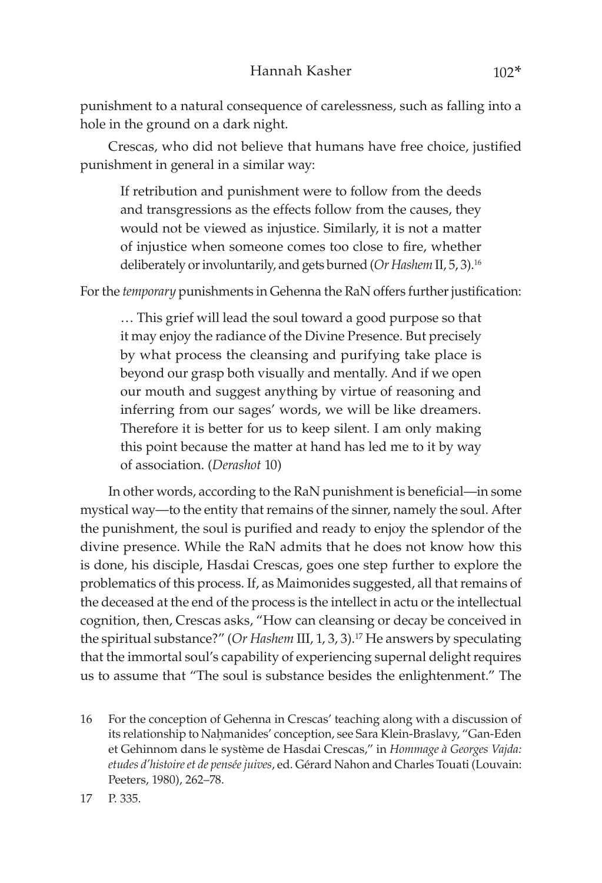punishment to a natural consequence of carelessness, such as falling into a hole in the ground on a dark night.

Crescas, who did not believe that humans have free choice, justified punishment in general in a similar way:

If retribution and punishment were to follow from the deeds and transgressions as the effects follow from the causes, they would not be viewed as injustice. Similarly, it is not a matter of injustice when someone comes too close to fire, whether deliberately or involuntarily, and gets burned (*Or Hashem* II, 5, 3).16

For the *temporary* punishments in Gehenna the RaN offers further justification:

… This grief will lead the soul toward a good purpose so that it may enjoy the radiance of the Divine Presence. But precisely by what process the cleansing and purifying take place is beyond our grasp both visually and mentally. And if we open our mouth and suggest anything by virtue of reasoning and inferring from our sages' words, we will be like dreamers. Therefore it is better for us to keep silent. I am only making this point because the matter at hand has led me to it by way of association. (*Derashot* 10)

In other words, according to the RaN punishment is beneficial—in some mystical way—to the entity that remains of the sinner, namely the soul. After the punishment, the soul is purified and ready to enjoy the splendor of the divine presence. While the RaN admits that he does not know how this is done, his disciple, Hasdai Crescas, goes one step further to explore the problematics of this process. If, as Maimonides suggested, all that remains of the deceased at the end of the process is the intellect in actu or the intellectual cognition, then, Crescas asks, "How can cleansing or decay be conceived in the spiritual substance?" (*Or Hashem* III, 1, 3, 3).17 He answers by speculating that the immortal soul's capability of experiencing supernal delight requires us to assume that "The soul is substance besides the enlightenment." The

16 For the conception of Gehenna in Crescas' teaching along with a discussion of its relationship to Nahmanides' conception, see Sara Klein-Braslavy, "Gan-Eden et Gehinnom dans le système de Hasdai Crescas," in *Hommage à Georges Vajda: etudes d'histoire et de pensée juives*, ed. Gérard Nahon and Charles Touati (Louvain: Peeters, 1980), 262–78.

17 P. 335.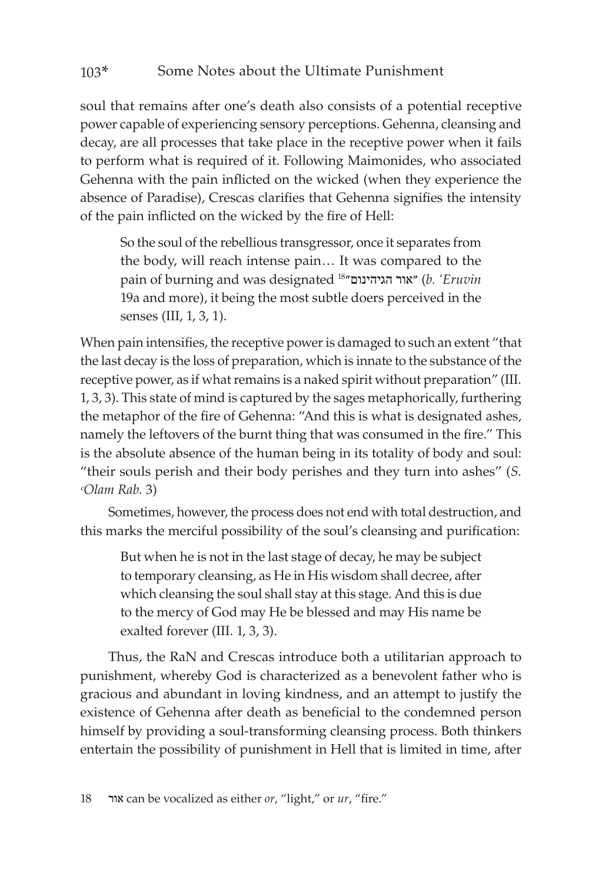soul that remains after one's death also consists of a potential receptive power capable of experiencing sensory perceptions. Gehenna, cleansing and decay, are all processes that take place in the receptive power when it fails to perform what is required of it. Following Maimonides, who associated Gehenna with the pain inflicted on the wicked (when they experience the absence of Paradise), Crescas clarifies that Gehenna signifies the intensity of the pain inflicted on the wicked by the fire of Hell:

So the soul of the rebellious transgressor, once it separates from the body, will reach intense pain… It was compared to the pain of burning and was designated 18הגיהינום״ ״אור) *b. 'Eruvin* 19a and more), it being the most subtle doers perceived in the senses (III, 1, 3, 1).

When pain intensifies, the receptive power is damaged to such an extent "that the last decay is the loss of preparation, which is innate to the substance of the receptive power, as if what remains is a naked spirit without preparation" (III. 1, 3, 3). This state of mind is captured by the sages metaphorically, furthering the metaphor of the fire of Gehenna: "And this is what is designated ashes, namely the leftovers of the burnt thing that was consumed in the fire." This is the absolute absence of the human being in its totality of body and soul: "their souls perish and their body perishes and they turn into ashes" (*S. ᶜOlam Rab.* 3)

Sometimes, however, the process does not end with total destruction, and this marks the merciful possibility of the soul's cleansing and purification:

But when he is not in the last stage of decay, he may be subject to temporary cleansing, as He in His wisdom shall decree, after which cleansing the soul shall stay at this stage. And this is due to the mercy of God may He be blessed and may His name be exalted forever (III. 1, 3, 3).

Thus, the RaN and Crescas introduce both a utilitarian approach to punishment, whereby God is characterized as a benevolent father who is gracious and abundant in loving kindness, and an attempt to justify the existence of Gehenna after death as beneficial to the condemned person himself by providing a soul-transforming cleansing process. Both thinkers entertain the possibility of punishment in Hell that is limited in time, after